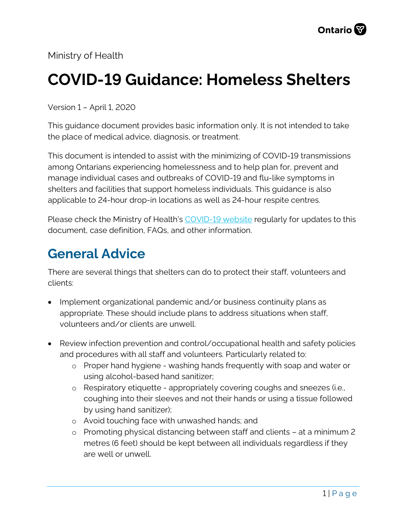Ministry of Health

# **COVID-19 Guidance: Homeless Shelters**

Version 1 – April 1, 2020

This guidance document provides basic information only. It is not intended to take the place of medical advice, diagnosis, or treatment.

This document is intended to assist with the minimizing of COVID-19 transmissions among Ontarians experiencing homelessness and to help plan for, prevent and manage individual cases and outbreaks of COVID-19 and flu-like symptoms in shelters and facilities that support homeless individuals. This guidance is also applicable to 24-hour drop-in locations as well as 24-hour respite centres.

Please check the Ministry of Health's [COVID-19 website](http://www.health.gov.on.ca/en/pro/programs/publichealth/coronavirus/2019_guidance.aspx) regularly for updates to this document, case definition, FAQs, and other information.

### **General Advice**

There are several things that shelters can do to protect their staff, volunteers and clients:

- Implement organizational pandemic and/or business continuity plans as appropriate. These should include plans to address situations when staff, volunteers and/or clients are unwell.
- Review infection prevention and control/occupational health and safety policies and procedures with all staff and volunteers. Particularly related to:
	- o Proper hand hygiene washing hands frequently with soap and water or using alcohol-based hand sanitizer;
	- o Respiratory etiquette appropriately covering coughs and sneezes (i.e., coughing into their sleeves and not their hands or using a tissue followed by using hand sanitizer);
	- o Avoid touching face with unwashed hands; and
	- o Promoting physical distancing between staff and clients at a minimum 2 metres (6 feet) should be kept between all individuals regardless if they are well or unwell.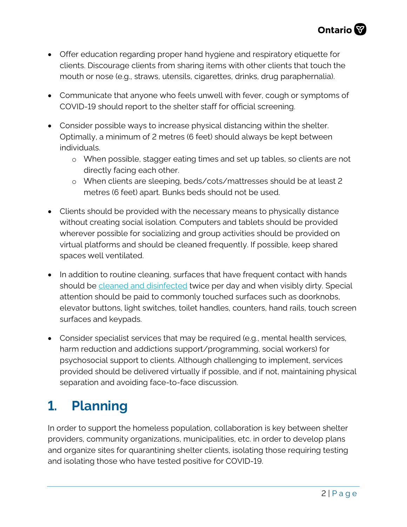- Offer education regarding proper hand hygiene and respiratory etiquette for clients. Discourage clients from sharing items with other clients that touch the mouth or nose (e.g., straws, utensils, cigarettes, drinks, drug paraphernalia).
- Communicate that anyone who feels unwell with fever, cough or symptoms of COVID-19 should report to the shelter staff for official screening.
- Consider possible ways to increase physical distancing within the shelter. Optimally, a minimum of 2 metres (6 feet) should always be kept between individuals.
	- o When possible, stagger eating times and set up tables, so clients are not directly facing each other.
	- o When clients are sleeping, beds/cots/mattresses should be at least 2 metres (6 feet) apart. Bunks beds should not be used.
- Clients should be provided with the necessary means to physically distance without creating social isolation. Computers and tablets should be provided wherever possible for socializing and group activities should be provided on virtual platforms and should be cleaned frequently. If possible, keep shared spaces well ventilated.
- In addition to routine cleaning, surfaces that have frequent contact with hands should be [cleaned and disinfected](https://www.publichealthontario.ca/-/media/documents/ncov/factsheet-covid-19-environmental-cleaning.pdf?la=en) twice per day and when visibly dirty. Special attention should be paid to commonly touched surfaces such as doorknobs, elevator buttons, light switches, toilet handles, counters, hand rails, touch screen surfaces and keypads.
- Consider specialist services that may be required (e.g., mental health services, harm reduction and addictions support/programming, social workers) for psychosocial support to clients. Although challenging to implement, services provided should be delivered virtually if possible, and if not, maintaining physical separation and avoiding face-to-face discussion.

# **1. Planning**

In order to support the homeless population, collaboration is key between shelter providers, community organizations, municipalities, etc. in order to develop plans and organize sites for quarantining shelter clients, isolating those requiring testing and isolating those who have tested positive for COVID-19.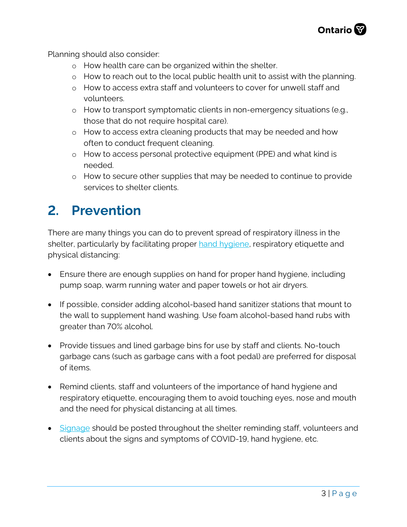Planning should also consider:

- o How health care can be organized within the shelter.
- o How to reach out to the local public health unit to assist with the planning.
- o How to access extra staff and volunteers to cover for unwell staff and volunteers.
- o How to transport symptomatic clients in non-emergency situations (e.g., those that do not require hospital care).
- o How to access extra cleaning products that may be needed and how often to conduct frequent cleaning.
- o How to access personal protective equipment (PPE) and what kind is needed.
- o How to secure other supplies that may be needed to continue to provide services to shelter clients.

### **2. Prevention**

There are many things you can do to prevent spread of respiratory illness in the shelter, particularly by facilitating proper hand [hygiene,](https://www.publichealthontario.ca/-/media/documents/ncov/factsheet/factsheet-covid-19-hand-hygiene.pdf?la=en) respiratory etiquette and physical distancing:

- Ensure there are enough supplies on hand for proper hand hygiene, including pump soap, warm running water and paper towels or hot air dryers.
- If possible, consider adding alcohol-based hand sanitizer stations that mount to the wall to supplement hand washing. Use foam alcohol-based hand rubs with greater than 70% alcohol.
- Provide tissues and lined garbage bins for use by staff and clients. No-touch garbage cans (such as garbage cans with a foot pedal) are preferred for disposal of items.
- Remind clients, staff and volunteers of the importance of hand hygiene and respiratory etiquette, encouraging them to avoid touching eyes, nose and mouth and the need for physical distancing at all times.
- [Signage](http://www.health.gov.on.ca/en/pro/programs/publichealth/coronavirus/2019_guidance.aspx) should be posted throughout the shelter reminding staff, volunteers and clients about the signs and symptoms of COVID-19, hand hygiene, etc.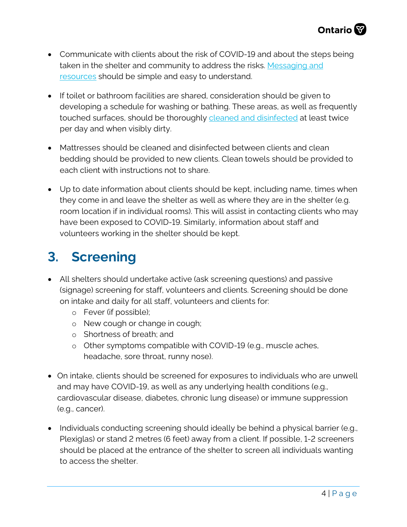- Communicate with clients about the risk of COVID-19 and about the steps being taken in the shelter and community to address the risks. [Messaging and](https://www.publichealthontario.ca/en/diseases-and-conditions/infectious-diseases/respiratory-diseases/novel-coronavirus/public-resources) [resources](https://www.publichealthontario.ca/en/diseases-and-conditions/infectious-diseases/respiratory-diseases/novel-coronavirus/public-resources) should be simple and easy to understand.
- If toilet or bathroom facilities are shared, consideration should be given to developing a schedule for washing or bathing. These areas, as well as frequently touched surfaces, should be thoroughly cleaned [and disinfected](https://www.publichealthontario.ca/-/media/documents/ncov/factsheet-covid-19-environmental-cleaning.pdf?la=en) at least twice per day and when visibly dirty.
- Mattresses should be cleaned and disinfected between clients and clean bedding should be provided to new clients. Clean towels should be provided to each client with instructions not to share.
- Up to date information about clients should be kept, including name, times when they come in and leave the shelter as well as where they are in the shelter (e.g. room location if in individual rooms). This will assist in contacting clients who may have been exposed to COVID-19. Similarly, information about staff and volunteers working in the shelter should be kept.

# **3. Screening**

- All shelters should undertake active (ask screening questions) and passive (signage) screening for staff, volunteers and clients. Screening should be done on intake and daily for all staff, volunteers and clients for:
	- o Fever (if possible);
	- o New cough or change in cough;
	- o Shortness of breath; and
	- o Other symptoms compatible with COVID-19 (e.g., muscle aches, headache, sore throat, runny nose).
- On intake, clients should be screened for exposures to individuals who are unwell and may have COVID-19, as well as any underlying health conditions (e.g., cardiovascular disease, diabetes, chronic lung disease) or immune suppression (e.g., cancer).
- Individuals conducting screening should ideally be behind a physical barrier (e.g., Plexiglas) or stand 2 metres (6 feet) away from a client. If possible, 1-2 screeners should be placed at the entrance of the shelter to screen all individuals wanting to access the shelter.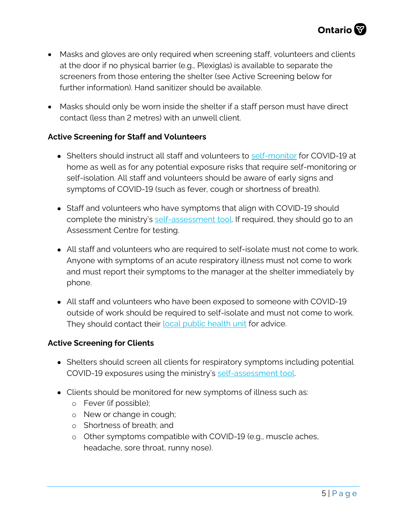- Masks and gloves are only required when screening staff, volunteers and clients at the door if no physical barrier (e.g., Plexiglas) is available to separate the screeners from those entering the shelter (see Active Screening below for further information). Hand sanitizer should be available.
- Masks should only be worn inside the shelter if a staff person must have direct contact (less than 2 metres) with an unwell client.

#### **Active Screening for Staff and Volunteers**

- Shelters should instruct all staff and volunteers to [self-monitor](https://www.publichealthontario.ca/en/diseases-and-conditions/infectious-diseases/respiratory-diseases/novel-coronavirus/public-resources) for COVID-19 at home as well as for any potential exposure risks that require self-monitoring or self-isolation. All staff and volunteers should be aware of early signs and symptoms of COVID-19 (such as fever, cough or shortness of breath).
- Staff and volunteers who have symptoms that align with COVID-19 should complete the ministry's [self-assessment tool.](https://www.ontario.ca/page/2019-novel-coronavirus) If required, they should go to an Assessment Centre for testing.
- All staff and volunteers who are required to self-isolate must not come to work. Anyone with symptoms of an acute respiratory illness must not come to work and must report their symptoms to the manager at the shelter immediately by phone.
- All staff and volunteers who have been exposed to someone with COVID-19 outside of work should be required to self-isolate and must not come to work. They should contact their [local public health unit](https://www.phdapps.health.gov.on.ca/PHULocator/) for advice.

#### **Active Screening for Clients**

- Shelters should screen all clients for respiratory symptoms including potential COVID-19 exposures using the ministry's [self-assessment tool.](https://www.ontario.ca/page/2019-novel-coronavirus)
- Clients should be monitored for new symptoms of illness such as:
	- o Fever (if possible);
	- o New or change in cough;
	- o Shortness of breath; and
	- o Other symptoms compatible with COVID-19 (e.g., muscle aches, headache, sore throat, runny nose).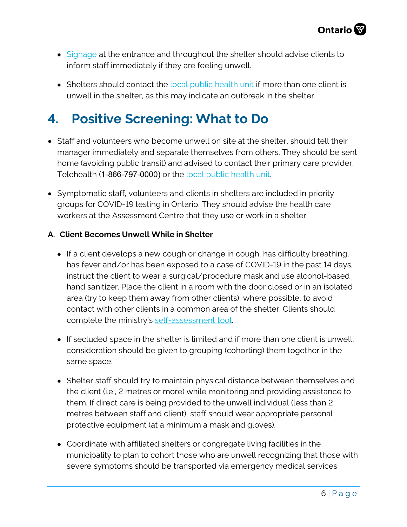

- [Signage](http://www.health.gov.on.ca/en/pro/programs/publichealth/coronavirus/2019_guidance.aspx) at the entrance and throughout the shelter should advise clients to inform staff immediately if they are feeling unwell.
- Shelters should contact the [local public health unit](https://www.phdapps.health.gov.on.ca/PHULocator/) if more than one client is unwell in the shelter, as this may indicate an outbreak in the shelter.

# **4. Positive Screening: What to Do**

- Staff and volunteers who become unwell on site at the shelter, should tell their manager immediately and separate themselves from others. They should be sent home (avoiding public transit) and advised to contact their primary care provider, Telehealth (1-866-797-0000) or the [local public health unit.](https://www.phdapps.health.gov.on.ca/PHULocator/)
- Symptomatic staff, volunteers and clients in shelters are included in priority groups for COVID-19 testing in Ontario. They should advise the health care workers at the Assessment Centre that they use or work in a shelter.

#### **A. Client Becomes Unwell While in Shelter**

- If a client develops a new cough or change in cough, has difficulty breathing, has fever and/or has been exposed to a case of COVID-19 in the past 14 days, instruct the client to wear a surgical/procedure mask and use alcohol-based hand sanitizer. Place the client in a room with the door closed or in an isolated area (try to keep them away from other clients), where possible, to avoid contact with other clients in a common area of the shelter. Clients should complete the ministry's [self-assessment tool.](https://www.ontario.ca/page/2019-novel-coronavirus)
- If secluded space in the shelter is limited and if more than one client is unwell, consideration should be given to grouping (cohorting) them together in the same space.
- Shelter staff should try to maintain physical distance between themselves and the client (i.e., 2 metres or more) while monitoring and providing assistance to them. If direct care is being provided to the unwell individual (less than 2 metres between staff and client), staff should wear appropriate personal protective equipment (at a minimum a mask and gloves).
- Coordinate with affiliated shelters or congregate living facilities in the municipality to plan to cohort those who are unwell recognizing that those with severe symptoms should be transported via emergency medical services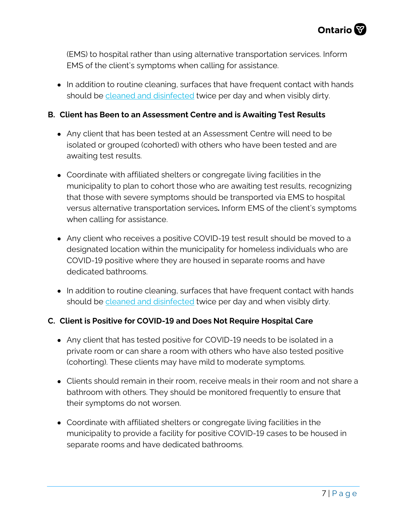(EMS) to hospital rather than using alternative transportation services. Inform EMS of the client's symptoms when calling for assistance.

• In addition to routine cleaning, surfaces that have frequent contact with hands should be [cleaned and disinfected](https://www.publichealthontario.ca/-/media/documents/ncov/factsheet-covid-19-environmental-cleaning.pdf?la=en) twice per day and when visibly dirty.

#### **B. Client has Been to an Assessment Centre and is Awaiting Test Results**

- Any client that has been tested at an Assessment Centre will need to be isolated or grouped (cohorted) with others who have been tested and are awaiting test results.
- Coordinate with affiliated shelters or congregate living facilities in the municipality to plan to cohort those who are awaiting test results, recognizing that those with severe symptoms should be transported via EMS to hospital versus alternative transportation services**.** Inform EMS of the client's symptoms when calling for assistance.
- Any client who receives a positive COVID-19 test result should be moved to a designated location within the municipality for homeless individuals who are COVID-19 positive where they are housed in separate rooms and have dedicated bathrooms.
- In addition to routine cleaning, surfaces that have frequent contact with hands should be [cleaned and disinfected](https://www.publichealthontario.ca/-/media/documents/ncov/factsheet-covid-19-environmental-cleaning.pdf?la=en) twice per day and when visibly dirty.

#### **C. Client is Positive for COVID-19 and Does Not Require Hospital Care**

- Any client that has tested positive for COVID-19 needs to be isolated in a private room or can share a room with others who have also tested positive (cohorting). These clients may have mild to moderate symptoms.
- Clients should remain in their room, receive meals in their room and not share a bathroom with others. They should be monitored frequently to ensure that their symptoms do not worsen.
- Coordinate with affiliated shelters or congregate living facilities in the municipality to provide a facility for positive COVID-19 cases to be housed in separate rooms and have dedicated bathrooms.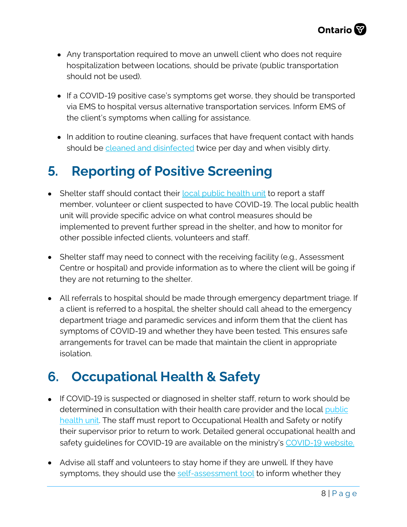- Any transportation required to move an unwell client who does not require hospitalization between locations, should be private (public transportation should not be used).
- If a COVID-19 positive case's symptoms get worse, they should be transported via EMS to hospital versus alternative transportation services. Inform EMS of the client's symptoms when calling for assistance.
- In addition to routine cleaning, surfaces that have frequent contact with hands should be [cleaned and disinfected](https://www.publichealthontario.ca/-/media/documents/ncov/factsheet-covid-19-environmental-cleaning.pdf?la=en) twice per day and when visibly dirty.

# **5. Reporting of Positive Screening**

- Shelter staff should contact their [local public health unit](https://www.phdapps.health.gov.on.ca/PHULocator/) to report a staff member, volunteer or client suspected to have COVID-19. The local public health unit will provide specific advice on what control measures should be implemented to prevent further spread in the shelter, and how to monitor for other possible infected clients, volunteers and staff.
- Shelter staff may need to connect with the receiving facility (e.g., Assessment Centre or hospital) and provide information as to where the client will be going if they are not returning to the shelter.
- All referrals to hospital should be made through emergency department triage. If a client is referred to a hospital, the shelter should call ahead to the emergency department triage and paramedic services and inform them that the client has symptoms of COVID-19 and whether they have been tested. This ensures safe arrangements for travel can be made that maintain the client in appropriate isolation.

### **6. Occupational Health & Safety**

- If COVID-19 is suspected or diagnosed in shelter staff, return to work should be determined in consultation with their health care provider and the local [public](http://www.health.gov.on.ca/en/common/system/services/phu/locations.aspx) [health](http://www.health.gov.on.ca/en/common/system/services/phu/locations.aspx) unit. The staff must report to Occupational Health and Safety or notify their supervisor prior to return to work. Detailed general occupational health and safety guidelines for COVID-19 are available on the ministry's [COVID-19](http://www.health.gov.on.ca/en/pro/programs/publichealth/coronavirus/2019_guidance.aspx) website.
- Advise all staff and volunteers to stay home if they are unwell. If they have symptoms, they should use the [self-assessment tool](https://www.ontario.ca/page/2019-novel-coronavirus) to inform whether they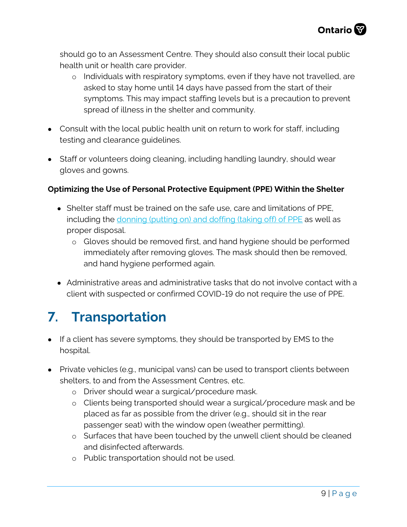should go to an Assessment Centre. They should also consult their local public health unit or health care provider.

- o Individuals with respiratory symptoms, even if they have not travelled, are asked to stay home until 14 days have passed from the start of their symptoms. This may impact staffing levels but is a precaution to prevent spread of illness in the shelter and community.
- Consult with the local public health unit on return to work for staff, including testing and clearance guidelines.
- Staff or volunteers doing cleaning, including handling laundry, should wear gloves and gowns.

#### **Optimizing the Use of Personal Protective Equipment (PPE) Within the Shelter**

- Shelter staff must be trained on the safe use, care and limitations of PPE, including the [donning \(putting on\) and doffing \(taking off\) of PPE](https://www.publichealthontario.ca/-/media/documents/rpap-recommeded-ppe-steps.pdf?la=en) as well as proper disposal.
	- o Gloves should be removed first, and hand hygiene should be performed immediately after removing gloves. The mask should then be removed, and hand hygiene performed again.
- Administrative areas and administrative tasks that do not involve contact with a client with suspected or confirmed COVID-19 do not require the use of PPE.

# **7. Transportation**

- If a client has severe symptoms, they should be transported by EMS to the hospital.
- Private vehicles (e.g., municipal vans) can be used to transport clients between shelters, to and from the Assessment Centres, etc.
	- o Driver should wear a surgical/procedure mask.
	- o Clients being transported should wear a surgical/procedure mask and be placed as far as possible from the driver (e.g., should sit in the rear passenger seat) with the window open (weather permitting).
	- o Surfaces that have been touched by the unwell client should be cleaned and disinfected afterwards.
	- o Public transportation should not be used.